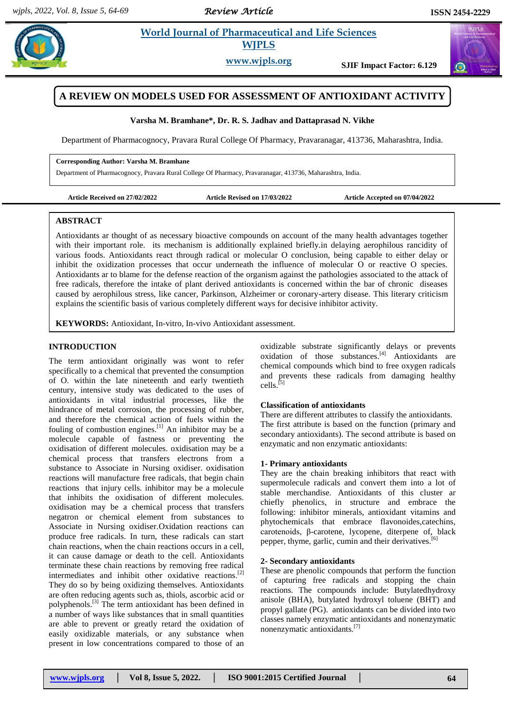*Review Article* 

# **Paramaceutical and Life Sciences WJPLS**

**www.wjpls.org SJIF Impact Factor: 6.129**

# **A REVIEW ON MODELS USED FOR ASSESSMENT OF ANTIOXIDANT ACTIVITY**

**Varsha M. Bramhane\*, Dr. R. S. Jadhav and Dattaprasad N. Vikhe**

Department of Pharmacognocy, Pravara Rural College Of Pharmacy, Pravaranagar, 413736, Maharashtra, India.

#### **Corresponding Author: Varsha M. Bramhane**

Department of Pharmacognocy, Pravara Rural College Of Pharmacy, Pravaranagar, 413736, Maharashtra, India.

**Article Received on 27/02/2022 Article Revised on 17/03/2022 Article Accepted on 07/04/2022**

# **ABSTRACT**

Antioxidants ar thought of as necessary bioactive compounds on account of the many health advantages together with their important role. its mechanism is additionally explained briefly.in delaying aerophilous rancidity of various foods. Antioxidants react through radical or molecular O conclusion, being capable to either delay or inhibit the oxidization processes that occur underneath the influence of molecular O or reactive O species. Antioxidants ar to blame for the defense reaction of the organism against the pathologies associated to the attack of free radicals, therefore the intake of plant derived antioxidants is concerned within the bar of chronic diseases caused by aerophilous stress, like cancer, Parkinson, Alzheimer or coronary-artery disease. This literary criticism explains the scientific basis of various completely different ways for decisive inhibitor activity.

**KEYWORDS:** Antioxidant, In-vitro, In-vivo Antioxidant assessment.

## **INTRODUCTION**

The term antioxidant originally was wont to refer specifically to a chemical that prevented the consumption of O. within the late nineteenth and early twentieth century, intensive study was dedicated to the uses of antioxidants in vital industrial processes, like the hindrance of metal corrosion, the processing of rubber, and therefore the chemical action of fuels within the fouling of combustion engines. $^{[1]}$  An inhibitor may be a molecule capable of fastness or preventing the oxidisation of different molecules. oxidisation may be a chemical process that transfers electrons from a substance to Associate in Nursing oxidiser. oxidisation reactions will manufacture free radicals, that begin chain reactions that injury cells. inhibitor may be a molecule that inhibits the oxidisation of different molecules. oxidisation may be a chemical process that transfers negatron or chemical element from substances to Associate in Nursing oxidiser.Oxidation reactions can produce free radicals. In turn, these radicals can start chain reactions, when the chain reactions occurs in a cell, it can cause damage or death to the cell. Antioxidants terminate these chain reactions by removing free radical intermediates and inhibit other oxidative reactions. [2] They do so by being oxidizing themselves. Antioxidants are often reducing agents such as, thiols, ascorbic acid or polyphenols.<sup>[3]</sup> The term antioxidant has been defined in a number of ways like substances that in small quantities are able to prevent or greatly retard the oxidation of easily oxidizable materials, or any substance when present in low concentrations compared to those of an

oxidizable substrate significantly delays or prevents oxidation of those substances.<sup>[4]</sup> Antioxidants are chemical compounds which bind to free oxygen radicals and prevents these radicals from damaging healthy cells. [5]

#### **Classification of antioxidants**

There are different attributes to classify the antioxidants. The first attribute is based on the function (primary and secondary antioxidants). The second attribute is based on enzymatic and non enzymatic antioxidants:

## **1- Primary antioxidants**

They are the chain breaking inhibitors that react with supermolecule radicals and convert them into a lot of stable merchandise. Antioxidants of this cluster ar chiefly phenolics, in structure and embrace the following: inhibitor minerals, antioxidant vitamins and phytochemicals that embrace flavonoides,catechins, carotenoids, β-carotene, lycopene, diterpene of, black pepper, thyme, garlic, cumin and their derivatives.<sup>[6]</sup>

## **2- Secondary antioxidants**

These are phenolic compounds that perform the function of capturing free radicals and stopping the chain reactions. The compounds include: Butylatedhydroxy anisole (BHA), butylated hydroxyl toluene (BHT) and propyl gallate (PG). antioxidants can be divided into two classes namely enzymatic antioxidants and nonenzymatic nonenzymatic antioxidants. [7]

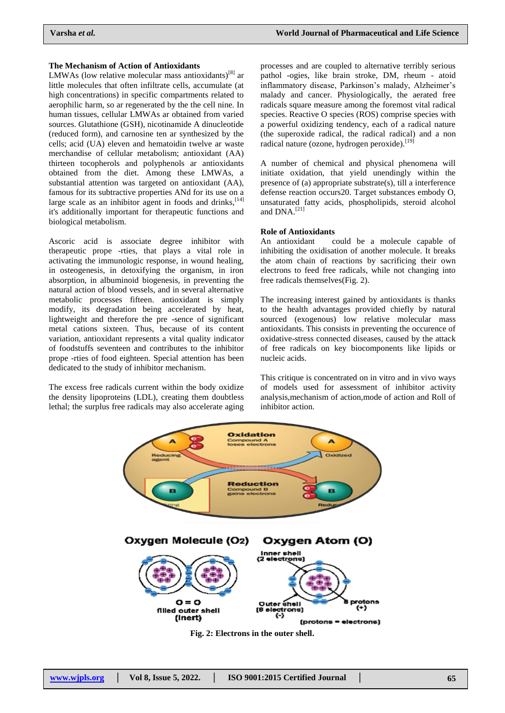#### **The Mechanism of Action of Antioxidants**

LMWAs (low relative molecular mass antioxidants)<sup>[8]</sup> ar little molecules that often infiltrate cells, accumulate (at high concentrations) in specific compartments related to aerophilic harm, so ar regenerated by the the cell nine. In human tissues, cellular LMWAs ar obtained from varied sources. Glutathione (GSH), nicotinamide A dinucleotide (reduced form), and carnosine ten ar synthesized by the cells; acid (UA) eleven and hematoidin twelve ar waste merchandise of cellular metabolism; antioxidant (AA) thirteen tocopherols and polyphenols ar antioxidants obtained from the diet. Among these LMWAs, a substantial attention was targeted on antioxidant (AA), famous for its subtractive properties ANd for its use on a large scale as an inhibitor agent in foods and drinks,  $[14]$ it's additionally important for therapeutic functions and biological metabolism.

Ascoric acid is associate degree inhibitor with therapeutic prope -rties, that plays a vital role in activating the immunologic response, in wound healing, in osteogenesis, in detoxifying the organism, in iron absorption, in albuminoid biogenesis, in preventing the natural action of blood vessels, and in several alternative metabolic processes fifteen. antioxidant is simply modify, its degradation being accelerated by heat, lightweight and therefore the pre -sence of significant metal cations sixteen. Thus, because of its content variation, antioxidant represents a vital quality indicator of foodstuffs seventeen and contributes to the inhibitor prope -rties of food eighteen. Special attention has been dedicated to the study of inhibitor mechanism.

The excess free radicals current within the body oxidize the density lipoproteins (LDL), creating them doubtless lethal; the surplus free radicals may also accelerate aging processes and are coupled to alternative terribly serious pathol -ogies, like brain stroke, DM, rheum - atoid inflammatory disease, Parkinson's malady, Alzheimer's malady and cancer. Physiologically, the aerated free radicals square measure among the foremost vital radical species. Reactive O species (ROS) comprise species with a powerful oxidizing tendency, each of a radical nature (the superoxide radical, the radical radical) and a non radical nature (ozone, hydrogen peroxide).<sup>[19]</sup>

A number of chemical and physical phenomena will initiate oxidation, that yield unendingly within the presence of (a) appropriate substrate(s), till a interference defense reaction occurs20. Target substances embody O, unsaturated fatty acids, phospholipids, steroid alcohol and DNA.<sup>[21]</sup>

## **Role of Antioxidants**

An antioxidant could be a molecule capable of inhibiting the oxidisation of another molecule. It breaks the atom chain of reactions by sacrificing their own electrons to feed free radicals, while not changing into free radicals themselves(Fig. 2).

The increasing interest gained by antioxidants is thanks to the health advantages provided chiefly by natural sourced (exogenous) low relative molecular mass antioxidants. This consists in preventing the occurence of oxidative-stress connected diseases, caused by the attack of free radicals on key biocomponents like lipids or nucleic acids.

This critique is concentrated on in vitro and in vivo ways of models used for assessment of inhibitor activity analysis,mechanism of action,mode of action and Roll of inhibitor action.



**Fig. 2: Electrons in the outer shell.**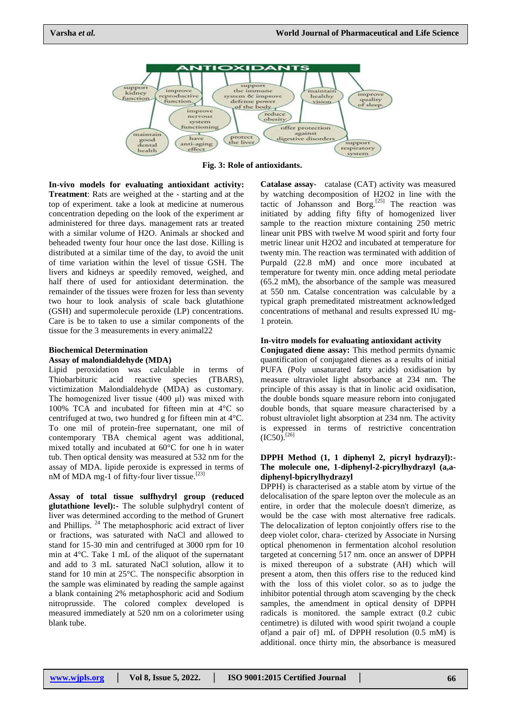

**Fig. 3: Role of antioxidants.**

**In-vivo models for evaluating antioxidant activity: Treatment**: Rats are weighed at the - starting and at the top of experiment. take a look at medicine at numerous concentration depeding on the look of the experiment ar administered for three days. management rats ar treated with a similar volume of H2O. Animals ar shocked and beheaded twenty four hour once the last dose. Killing is distributed at a similar time of the day, to avoid the unit of time variation within the level of tissue GSH. The livers and kidneys ar speedily removed, weighed, and half there of used for antioxidant determination. the remainder of the tissues were frozen for less than seventy two hour to look analysis of scale back glutathione (GSH) and supermolecule peroxide (LP) concentrations. Care is be to taken to use a similar components of the tissue for the 3 measurements in every animal22

#### **Biochemical Determination**

#### **Assay of malondialdehyde (MDA)**

Lipid peroxidation was calculable in terms of Thiobarbituric acid reactive species (TBARS), victimization Malondialdehyde (MDA) as customary. The homogenized liver tissue (400 μl) was mixed with 100% TCA and incubated for fifteen min at 4°C so centrifuged at two, two hundred g for fifteen min at 4°C. To one mil of protein-free supernatant, one mil of contemporary TBA chemical agent was additional, mixed totally and incubated at 60°C for one h in water tub. Then optical density was measured at 532 nm for the assay of MDA. lipide peroxide is expressed in terms of nM of MDA mg-1 of fifty-four liver tissue.<sup>[23]</sup>

**Assay of total tissue sulfhydryl group (reduced glutathione level):-** The soluble sulphydryl content of liver was determined according to the method of Grunert and Phillips. <sup>24</sup> The metaphosphoric acid extract of liver or fractions, was saturated with NaCl and allowed to stand for 15-30 min and centrifuged at 3000 rpm for 10 min at 4°C. Take 1 mL of the aliquot of the supernatant and add to 3 mL saturated NaCl solution, allow it to stand for 10 min at 25°C. The nonspecific absorption in the sample was eliminated by reading the sample against a blank containing 2% metaphosphoric acid and Sodium nitroprusside. The colored complex developed is measured immediately at 520 nm on a colorimeter using blank tube.

**Catalase assay**- catalase (CAT) activity was measured by watching decomposition of H2O2 in line with the tactic of Johansson and Borg.<sup>[25]</sup> The reaction was initiated by adding fifty fifty of homogenized liver sample to the reaction mixture containing 250 metric linear unit PBS with twelve M wood spirit and forty four metric linear unit H2O2 and incubated at temperature for twenty min. The reaction was terminated with addition of Purpald (22.8 mM) and once more incubated at temperature for twenty min. once adding metal periodate (65.2 mM), the absorbance of the sample was measured at 550 nm. Catalse concentration was calculable by a typical graph premeditated mistreatment acknowledged concentrations of methanal and results expressed IU mg-1 protein.

#### **In-vitro models for evaluating antioxidant activity**

**Conjugated diene assay:** This method permits dynamic quantification of conjugated dienes as a results of initial PUFA (Poly unsaturated fatty acids) oxidisation by measure ultraviolet light absorbance at 234 nm. The principle of this assay is that in linolic acid oxidisation, the double bonds square measure reborn into conjugated double bonds, that square measure characterised by a robust ultraviolet light absorption at 234 nm. The activity is expressed in terms of restrictive concentration  $(IC50).$ <sup>[26]</sup>

## **DPPH Method (1, 1 diphenyl 2, picryl hydrazyl):- The molecule one, 1-diphenyl-2-picrylhydrazyl (a,adiphenyl-bpicrylhydrazyl**

DPPH) is characterised as a stable atom by virtue of the delocalisation of the spare lepton over the molecule as an entire, in order that the molecule doesn't dimerize, as would be the case with most alternative free radicals. The delocalization of lepton conjointly offers rise to the deep violet color, chara- cterized by Associate in Nursing optical phenomenon in fermentation alcohol resolution targeted at concerning 517 nm. once an answer of DPPH is mixed thereupon of a substrate (AH) which will present a atom, then this offers rise to the reduced kind with the loss of this violet color. so as to judge the inhibitor potential through atom scavenging by the check samples, the amendment in optical density of DPPH radicals is monitored. the sample extract (0.2 cubic centimetre) is diluted with wood spirit two|and a couple of  $\alpha$  a pair of  $\mu$  mL of DPPH resolution (0.5 mM) is additional. once thirty min, the absorbance is measured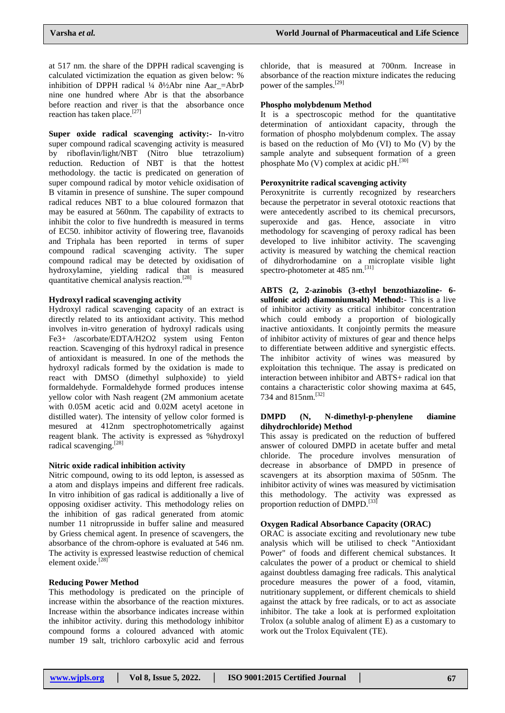at 517 nm. the share of the DPPH radical scavenging is calculated victimization the equation as given below: % inhibition of DPPH radical ¼  $\delta$ ½Abr nine Aar =AbrÞ nine one hundred where Abr is that the absorbance before reaction and river is that the absorbance once reaction has taken place.<sup>[27]</sup>

**Super oxide radical scavenging activity:-** In-vitro super compound radical scavenging activity is measured by riboflavin/light/NBT (Nitro blue tetrazolium) reduction. Reduction of NBT is that the hottest methodology. the tactic is predicated on generation of super compound radical by motor vehicle oxidisation of B vitamin in presence of sunshine. The super compound radical reduces NBT to a blue coloured formazon that may be easured at 560nm. The capability of extracts to inhibit the color to five hundredth is measured in terms of EC50. inhibitor activity of flowering tree, flavanoids and Triphala has been reported in terms of super compound radical scavenging activity. The super compound radical may be detected by oxidisation of hydroxylamine, yielding radical that is measured quantitative chemical analysis reaction.[28]

## **Hydroxyl radical scavenging activity**

Hydroxyl radical scavenging capacity of an extract is directly related to its antioxidant activity. This method involves in-vitro generation of hydroxyl radicals using Fe3+ /ascorbate/EDTA/H2O2 system using Fenton reaction. Scavenging of this hydroxyl radical in presence of antioxidant is measured. In one of the methods the hydroxyl radicals formed by the oxidation is made to react with DMSO (dimethyl sulphoxide) to yield formaldehyde. Formaldehyde formed produces intense yellow color with Nash reagent (2M ammonium acetate with 0.05M acetic acid and 0.02M acetyl acetone in distilled water). The intensity of yellow color formed is mesured at 412nm spectrophotometrically against reagent blank. The activity is expressed as %hydroxyl radical scavenging.[28]

#### **Nitric oxide radical inhibition activity**

Nitric compound, owing to its odd lepton, is assessed as a atom and displays impeins and different free radicals. In vitro inhibition of gas radical is additionally a live of opposing oxidiser activity. This methodology relies on the inhibition of gas radical generated from atomic number 11 nitroprusside in buffer saline and measured by Griess chemical agent. In presence of scavengers, the absorbance of the chrom-ophore is evaluated at 546 nm. The activity is expressed leastwise reduction of chemical element oxide.<sup>[28]</sup>

# **Reducing Power Method**

This methodology is predicated on the principle of increase within the absorbance of the reaction mixtures. Increase within the absorbance indicates increase within the inhibitor activity. during this methodology inhibitor compound forms a coloured advanced with atomic number 19 salt, trichloro carboxylic acid and ferrous

chloride, that is measured at 700nm. Increase in absorbance of the reaction mixture indicates the reducing power of the samples.<sup>[29]</sup>

## **Phospho molybdenum Method**

It is a spectroscopic method for the quantitative determination of antioxidant capacity, through the formation of phospho molybdenum complex. The assay is based on the reduction of Mo (VI) to Mo (V) by the sample analyte and subsequent formation of a green phosphate Mo (V) complex at acidic pH.<sup>[30]</sup>

## **Peroxynitrite radical scavenging activity**

Peroxynitrite is currently recognized by researchers because the perpetrator in several ototoxic reactions that were antecedently ascribed to its chemical precursors, superoxide and gas. Hence, associate in vitro methodology for scavenging of peroxy radical has been developed to live inhibitor activity. The scavenging activity is measured by watching the chemical reaction of dihydrorhodamine on a microplate visible light spectro-photometer at 485 nm.<sup>[31]</sup>

**ABTS (2, 2-azinobis (3-ethyl benzothiazoline- 6 sulfonic acid) diamoniumsalt) Method:**- This is a live of inhibitor activity as critical inhibitor concentration which could embody a proportion of biologically inactive antioxidants. It conjointly permits the measure of inhibitor activity of mixtures of gear and thence helps to differentiate between additive and synergistic effects. The inhibitor activity of wines was measured by exploitation this technique. The assay is predicated on interaction between inhibitor and ABTS+ radical ion that contains a characteristic color showing maxima at 645, 734 and 815<sub>nm</sub><sup>[32]</sup>

## **DMPD (N, N-dimethyl-p-phenylene diamine dihydrochloride) Method**

This assay is predicated on the reduction of buffered answer of coloured DMPD in acetate buffer and metal chloride. The procedure involves mensuration of decrease in absorbance of DMPD in presence of scavengers at its absorption maxima of 505nm. The inhibitor activity of wines was measured by victimisation this methodology. The activity was expressed as proportion reduction of DMPD.<sup>[33]</sup>

# **Oxygen Radical Absorbance Capacity (ORAC)**

ORAC is associate exciting and revolutionary new tube analysis which will be utilised to check "Antioxidant Power" of foods and different chemical substances. It calculates the power of a product or chemical to shield against doubtless damaging free radicals. This analytical procedure measures the power of a food, vitamin, nutritionary supplement, or different chemicals to shield against the attack by free radicals, or to act as associate inhibitor. The take a look at is performed exploitation Trolox (a soluble analog of aliment E) as a customary to work out the Trolox Equivalent (TE).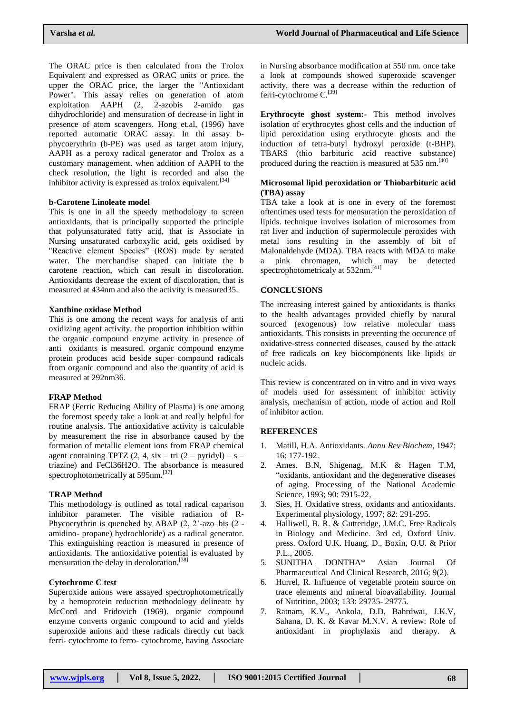The ORAC price is then calculated from the Trolox Equivalent and expressed as ORAC units or price. the upper the ORAC price, the larger the "Antioxidant Power". This assay relies on generation of atom exploitation AAPH (2, 2-azobis 2-amido gas dihydrochloride) and mensuration of decrease in light in presence of atom scavengers. Hong et.al, (1996) have reported automatic ORAC assay. In thi assay bphycoerythrin (b-PE) was used as target atom injury, AAPH as a peroxy radical generator and Trolox as a customary management. when addition of AAPH to the check resolution, the light is recorded and also the inhibitor activity is expressed as trolox equivalent.<sup>[34]</sup>

## **b-Carotene Linoleate model**

This is one in all the speedy methodology to screen antioxidants, that is principally supported the principle that polyunsaturated fatty acid, that is Associate in Nursing unsaturated carboxylic acid, gets oxidised by "Reactive element Species" (ROS) made by aerated water. The merchandise shaped can initiate the b carotene reaction, which can result in discoloration. Antioxidants decrease the extent of discoloration, that is measured at 434nm and also the activity is measured35.

## **Xanthine oxidase Method**

This is one among the recent ways for analysis of anti oxidizing agent activity. the proportion inhibition within the organic compound enzyme activity in presence of anti oxidants is measured. organic compound enzyme protein produces acid beside super compound radicals from organic compound and also the quantity of acid is measured at 292nm36.

# **FRAP Method**

FRAP (Ferric Reducing Ability of Plasma) is one among the foremost speedy take a look at and really helpful for routine analysis. The antioxidative activity is calculable by measurement the rise in absorbance caused by the formation of metallic element ions from FRAP chemical agent containing TPTZ  $(2, 4, \text{six} - \text{tri} (2 - \text{pyridyl}) - \text{s}$ triazine) and FeCl36H2O. The absorbance is measured spectrophotometrically at 595nm.<sup>[37]</sup>

# **TRAP Method**

This methodology is outlined as total radical caparison inhibitor parameter. The visible radiation of R-Phycoerythrin is quenched by ABAP  $(2, 2)$ <sup>-</sup>azo–bis  $(2$ amidino- propane) hydrochloride) as a radical generator. This extinguishing reaction is measured in presence of antioxidants. The antioxidative potential is evaluated by mensuration the delay in decoloration.<sup>[38]</sup>

# **Cytochrome C test**

Superoxide anions were assayed spectrophotometrically by a hemoprotein reduction methodology delineate by McCord and Fridovich (1969). organic compound enzyme converts organic compound to acid and yields superoxide anions and these radicals directly cut back ferri- cytochrome to ferro- cytochrome, having Associate

in Nursing absorbance modification at 550 nm. once take a look at compounds showed superoxide scavenger activity, there was a decrease within the reduction of ferri-cytochrome C.<sup>[39]</sup>

**Erythrocyte ghost system:-** This method involves isolation of erythrocytes ghost cells and the induction of lipid peroxidation using erythrocyte ghosts and the induction of tetra-butyl hydroxyl peroxide (t-BHP). TBARS (thio barbituric acid reactive substance) produced during the reaction is measured at 535 nm.<sup>[40]</sup>

## **Microsomal lipid peroxidation or Thiobarbituric acid (TBA) assay**

TBA take a look at is one in every of the foremost oftentimes used tests for mensuration the peroxidation of lipids. technique involves isolation of microsomes from rat liver and induction of supermolecule peroxides with metal ions resulting in the assembly of bit of Malonaldehyde (MDA). TBA reacts with MDA to make a pink chromagen, which may be detected spectrophotometricaly at 532nm.<sup>[41]</sup>

# **CONCLUSIONS**

The increasing interest gained by antioxidants is thanks to the health advantages provided chiefly by natural sourced (exogenous) low relative molecular mass antioxidants. This consists in preventing the occurence of oxidative-stress connected diseases, caused by the attack of free radicals on key biocomponents like lipids or nucleic acids.

This review is concentrated on in vitro and in vivo ways of models used for assessment of inhibitor activity analysis, mechanism of action, mode of action and Roll of inhibitor action.

# **REFERENCES**

- 1. Matill, H.A. Antioxidants. *Annu Rev Biochem*, 1947; 16: 177-192.
- 2. Ames. B.N, Shigenag, M.K & Hagen T.M, "oxidants, antioxidant and the degenerative diseases of aging. Processing of the National Academic Science, 1993; 90: 7915-22,
- 3. Sies, H. Oxidative stress, oxidants and antioxidants. Experimental physiology, 1997; 82: 291-295.
- 4. Halliwell, B. R. & Gutteridge, J.M.C. Free Radicals in Biology and Medicine. 3rd ed, Oxford Univ. press. Oxford U.K. Huang. D., Boxin, O.U. & Prior P.L., 2005.
- 5. SUNITHA DONTHA\* Asian Journal Of Pharmaceutical And Clinical Research, 2016; 9(2).
- 6. Hurrel, R. Influence of vegetable protein source on trace elements and mineral bioavailability. Journal of Nutrition, 2003; 133: 29735- 29775.
- 7. Ratnam, K.V., Ankola, D.D, Bahrdwai, J.K.V, Sahana, D. K. & Kavar M.N.V. A review: Role of antioxidant in prophylaxis and therapy. A